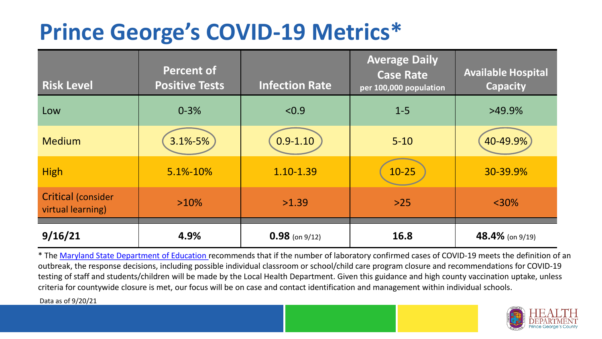## **Prince George's COVID-19 Metrics\***

| <b>Risk Level</b>                              | <b>Percent of</b><br><b>Positive Tests</b> | <b>Infection Rate</b> | <b>Average Daily</b><br><b>Case Rate</b><br>per 100,000 population | <b>Available Hospital</b><br><b>Capacity</b> |
|------------------------------------------------|--------------------------------------------|-----------------------|--------------------------------------------------------------------|----------------------------------------------|
| Low                                            | $0 - 3%$                                   | < 0.9                 | $1 - 5$                                                            | $>49.9\%$                                    |
| <b>Medium</b>                                  | $3.1\% - 5\%$                              | $0.9 - 1.10$          | $5 - 10$                                                           | 40-49.9%                                     |
| <b>High</b>                                    | 5.1%-10%                                   | 1.10-1.39             | $10-25$                                                            | 30-39.9%                                     |
| <b>Critical (consider</b><br>virtual learning) | $>10\%$                                    | >1.39                 | $>25$                                                              | $<$ 30%                                      |
| 9/16/21                                        | 4.9%                                       | $0.98$ (on 9/12)      | 16.8                                                               | 48.4% (on 9/19)                              |

\* The [Maryland State Department of Education r](https://earlychildhood.marylandpublicschools.org/system/files/filedepot/3/covid_guidance_full_080420.pdf)ecommends that if the number of laboratory confirmed cases of COVID-19 meets the definition of an outbreak, the response decisions, including possible individual classroom or school/child care program closure and recommendations for COVID-19 testing of staff and students/children will be made by the Local Health Department. Given this guidance and high county vaccination uptake, unless criteria for countywide closure is met, our focus will be on case and contact identification and management within individual schools.

Data as of 9/20/21

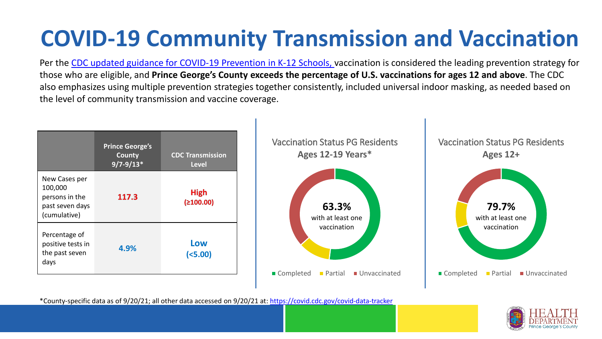# **COVID-19 Community Transmission and Vaccination**

Per the [CDC updated guidance for COVID-19 Prevention in K-12 Schools,](https://www.cdc.gov/coronavirus/2019-ncov/community/schools-childcare/k-12-guidance.html) vaccination is considered the leading prevention strategy for those who are eligible, and **Prince George's County exceeds the percentage of U.S. vaccinations for ages 12 and above**. The CDC also emphasizes using multiple prevention strategies together consistently, included universal indoor masking, as needed based on the level of community transmission and vaccine coverage.



\*County-specific data as of 9/20/21; all other data accessed on 9/20/21 at:<https://covid.cdc.gov/covid-data-tracker>

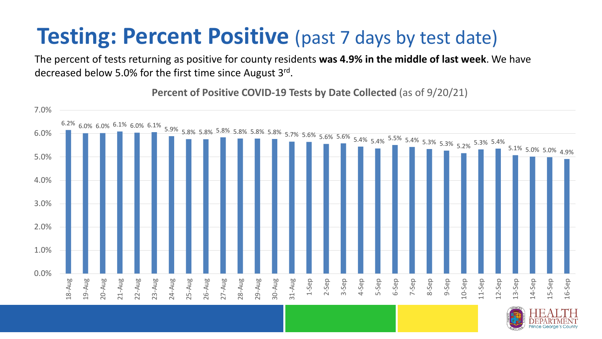#### **Testing: Percent Positive** (past 7 days by test date)

The percent of tests returning as positive for county residents **was 4.9% in the middle of last week**. We have decreased below 5.0% for the first time since August 3rd.

**Percent of Positive COVID-19 Tests by Date Collected** (as of 9/20/21)



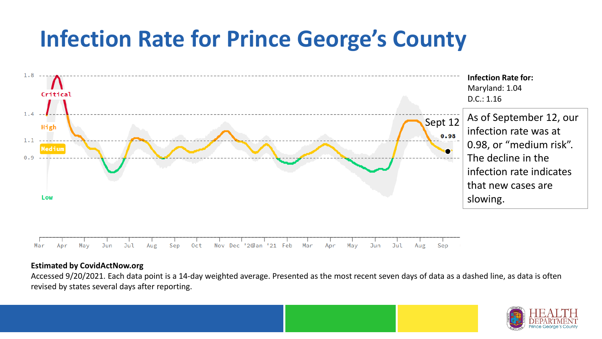### **Infection Rate for Prince George's County**



#### **Estimated by CovidActNow.org**

Accessed 9/20/2021. Each data point is a 14-day weighted average. Presented as the most recent seven days of data as a dashed line, as data is often revised by states several days after reporting.

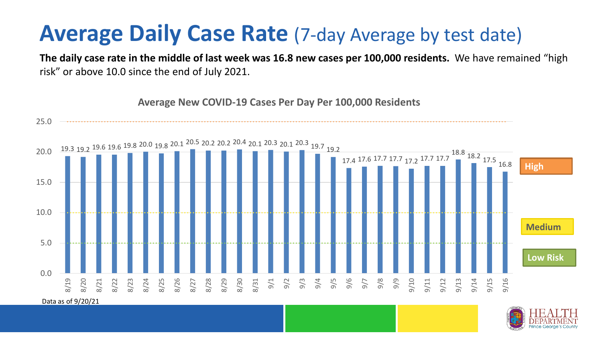#### **Average Daily Case Rate** (7-day Average by test date)

**The daily case rate in the middle of last week was 16.8 new cases per 100,000 residents.** We have remained "high risk" or above 10.0 since the end of July 2021.



**Average New COVID-19 Cases Per Day Per 100,000 Residents**